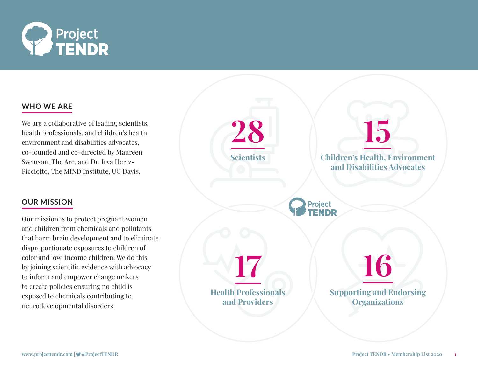

## **WHO WE ARE**

We are a collaborative of leading scientists, health professionals, and children's health, environment and disabilities advocates, co-founded and co-directed by Maureen Swanson, The Arc, and Dr. Irva Hertz-Picciotto, The MIND Institute, UC Davis.

## **OUR MISSION**

Our mission is to protect pregnant women and children from chemicals and pollutants that harm brain development and to eliminate disproportionate exposures to children of color and low-income children. We do this by joining scientific evidence with advocacy to inform and empower change makers to create policies ensuring no child is exposed to chemicals contributing to neurodevelopmental disorders.

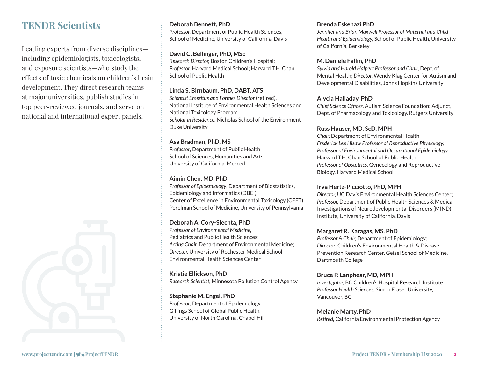## **TENDR Scientists**

Leading experts from diverse disciplines including epidemiologists, toxicologists, and exposure scientists—who study the effects of toxic chemicals on children's brain development. They direct research teams at major universities, publish studies in top peer-reviewed journals, and serve on national and international expert panels.



#### **Deborah Bennett, PhD**

*Professor,* Department of Public Health Sciences, School of Medicine, University of California, Davis

#### **David C. Bellinger, PhD, MSc**

*Research Director,* Boston Children's Hospital; *Professor,* Harvard Medical School; Harvard T.H. Chan School of Public Health

### **Linda S. Birnbaum, PhD, DABT, ATS**

*Scientist Emeritus and Former Director* (retired), National Institute of Environmental Health Sciences and National Toxicology Program *Scholar in Residence*, Nicholas School of the Environment Duke University

### **Asa Bradman, PhD, MS**

*Professor*, Department of Public Health School of Sciences, Humanities and Arts University of California, Merced

## **Aimin Chen, MD, PhD**

*Professor of Epidemiology*, Department of Biostatistics, Epidemiology and Informatics (DBEI), Center of Excellence in Environmental Toxicology (CEET) Perelman School of Medicine, University of Pennsylvania

## **Deborah A. Cory-Slechta, PhD**

*Professor of Environmental Medicine,*  Pediatrics and Public Health Sciences; *Acting Chair,* Department of Environmental Medicine; *Director,* University of Rochester Medical School Environmental Health Sciences Center

**Kristie Ellickson, PhD** *Research Scientist,* Minnesota Pollution Control Agency

## **Stephanie M. Engel, PhD**

*Professor*, Department of Epidemiology, Gillings School of Global Public Health, University of North Carolina, Chapel Hill

### **Brenda Eskenazi PhD**

*Jennifer and Brian Maxwell Professor of Maternal and Child Health and Epidemiology,* School of Public Health, University of California, Berkeley

## **M. Daniele Fallin, PhD**

*Sylvia and Harold Halpert Professor and Chair,* Dept. of Mental Health; *Director,* Wendy Klag Center for Autism and Developmental Disabilities, Johns Hopkins University

## **Alycia Halladay, PhD**

*Chief Science Officer*, Autism Science Foundation; Adjunct, Dept. of Pharmacology and Toxicology, Rutgers University

### **Russ Hauser, MD, ScD, MPH**

*Chair,* Department of Environmental Health *Frederick Lee Hisaw Professor of Reproductive Physiology, Professor of Environmental and Occupational Epidemiology,*  Harvard T.H. Chan School of Public Health; *Professor of Obstetrics,* Gynecology and Reproductive Biology, Harvard Medical School

## **Irva Hertz-Picciotto, PhD, MPH**

*Director,* UC Davis Environmental Health Sciences Center; *Professor,* Department of Public Health Sciences & Medical Investigations of Neurodevelopmental Disorders (MIND) Institute, University of California, Davis

#### **Margaret R. Karagas, MS, PhD**

*Professor & Chair,* Department of Epidemiology; *Director*, Children's Environmental Health & Disease Prevention Research Center, Geisel School of Medicine, Dartmouth College

## **Bruce P. Lanphear, MD, MPH**

*Investigator,* BC Children's Hospital Research Institute; *Professor Health Sciences,* Simon Fraser University, Vancouver, BC

## **Melanie Marty, PhD**

*Retired,* California Environmental Protection Agency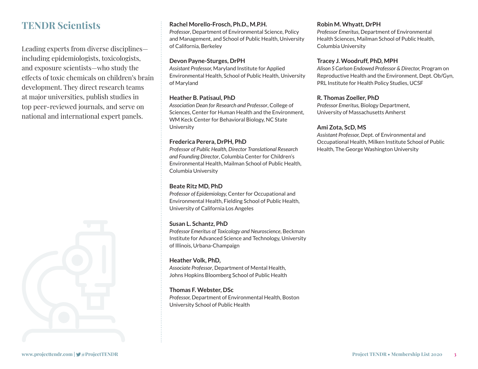## **TENDR Scientists**

Leading experts from diverse disciplines including epidemiologists, toxicologists, and exposure scientists—who study the effects of toxic chemicals on children's brain development. They direct research teams at major universities, publish studies in top peer-reviewed journals, and serve on national and international expert panels.



## **Rachel Morello-Frosch, Ph.D., M.P.H.**

*Professor*, Department of Environmental Science, Policy and Management, and School of Public Health, University of California, Berkeley

## **Devon Payne-Sturges, DrPH**

*Assistant Professor,* Maryland Institute for Applied Environmental Health, School of Public Health, University of Maryland

## **Heather B. Patisaul, PhD**

*Association Dean for Research and Professor*, College of Sciences, Center for Human Health and the Environment, WM Keck Center for Behavioral Biology, NC State **University** 

### **Frederica Perera, DrPH, PhD**

*Professor of Public Health, Director Translational Research and Founding Director*, Columbia Center for Children's Environmental Health, Mailman School of Public Health, Columbia University

## **Beate Ritz MD, PhD**

*Professor of Epidemiology,* Center for Occupational and Environmental Health, Fielding School of Public Health, University of California Los Angeles

## **Susan L. Schantz, PhD**

*Professor Emeritus of Toxicology and Neuroscience*, Beckman Institute for Advanced Science and Technology, University of Illinois, Urbana-Champaign

## **Heather Volk, PhD,**

*Associate Professor*, Department of Mental Health, Johns Hopkins Bloomberg School of Public Health

#### **Thomas F. Webster, DSc**

*Professor,* Department of Environmental Health, Boston University School of Public Health

### **Robin M. Whyatt, DrPH**

*Professor Emeritus*, Department of Environmental Health Sciences, Mailman School of Public Health, Columbia University

#### **Tracey J. Woodruff, PhD, MPH**

*Alison S Carlson Endowed Professor & Director,* Program on Reproductive Health and the Environment, Dept. Ob/Gyn, PRL Institute for Health Policy Studies, UCSF

### **R. Thomas Zoeller, PhD**

*Professor Emeritus,* Biology Department, University of Massachusetts Amherst

#### **Ami Zota, ScD, MS**

*Assistant Professor,* Dept. of Environmental and Occupational Health, Milken Institute School of Public Health, The George Washington University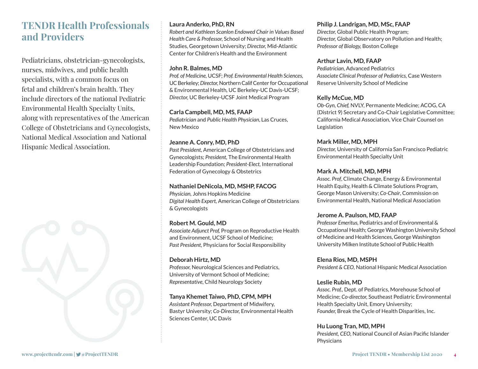# **TENDR Health Professionals and Providers**

Pediatricians, obstetrician-gynecologists, nurses, midwives, and public health specialists, with a common focus on fetal and children's brain health. They include directors of the national Pediatric Environmental Health Specialty Units, along with representatives of the American College of Obstetricians and Gynecologists, National Medical Association and National Hispanic Medical Association.



## **Laura Anderko, PhD, RN**

*Robert and Kathleen Scanlon Endowed Chair in Values Based Health Care & Professor,* School of Nursing and Health Studies, Georgetown University; *Director,* Mid-Atlantic Center for Children's Health and the Environment

#### **John R. Balmes, MD**

*Prof. of Medicine,* UCSF; *Prof. Environmental Health Sciences,*  UC Berkeley; *Director,* Northern Calif Center for Occupational & Environmental Health*,* UC Berkeley-UC Davis-UCSF; *Director,* UC Berkeley-UCSF Joint Medical Program

#### **Carla Campbell, MD, MS, FAAP**

*Pediatrician* and *Public Health Physician*, Las Cruces, New Mexico

#### **Jeanne A. Conry, MD, PhD**

*Past President,* American College of Obstetricians and Gynecologists; *President,* The Environmental Health Leadership Foundation; *President-Elect,* International Federation of Gynecology & Obstetrics

#### **Nathaniel DeNicola, MD, MSHP, FACOG**

*Physician,* Johns Hopkins Medicine *Digital Health Expert,* American College of Obstetricians & Gynecologists

#### **Robert M. Gould, MD**

*Associate Adjunct Prof,* Program on Reproductive Health and Environment, UCSF School of Medicine; *Past President,* Physicians for Social Responsibility

## **Deborah Hirtz, MD**

*Professor,* Neurological Sciences and Pediatrics, University of Vermont School of Medicine; *Representative,* Child Neurology Society

#### **Tanya Khemet Taiwo, PhD, CPM, MPH**

*Assistant Professor,* Department of Midwifery, Bastyr University; *Co-Director,* Environmental Health Sciences Center, UC Davis

#### **Philip J. Landrigan, MD, MSc, FAAP**

*Director,* Global Public Health Program; *Director,* Global Observatory on Pollution and Health; *Professor of Biology,* Boston College

#### **Arthur Lavin, MD, FAAP**

*Pediatrician*, Advanced Pediatrics *Associate Clinical Professor of Pediatrics,* Case Western Reserve University School of Medicine

#### **Kelly McCue, MD**

*Ob-Gyn, Chief,* NVLY, Permanente Medicine; ACOG, CA (District 9) Secretary and Co-Chair Legislative Committee; California Medical Association, Vice Chair Counsel on Legislation

#### **Mark Miller, MD, MPH**

*Director,* University of California San Francisco Pediatric Environmental Health Specialty Unit

#### **Mark A. Mitchell, MD, MPH**

*Assoc. Prof*, Climate Change, Energy & Environmental Health Equity, Health & Climate Solutions Program, George Mason University; *Co-Chair*, Commission on Environmental Health, National Medical Association

#### **Jerome A. Paulson, MD, FAAP**

*Professor Emeritus,* Pediatrics and of Environmental & Occupational Health; George Washington University School of Medicine and Health Sciences, George Washington University Milken Institute School of Public Health

**Elena Rios, MD, MSPH** 

*President & CEO,* National Hispanic Medical Association

#### **Leslie Rubin, MD**

*Assoc. Prof.,* Dept. of Pediatrics, Morehouse School of Medicine; *Co-director,* Southeast Pediatric Environmental Health Specialty Unit, Emory University; *Founder,* Break the Cycle of Health Disparities, Inc.

#### **Hu Luong Tran, MD, MPH**

*President, CEO,* National Council of Asian Pacific Islander **Physicians**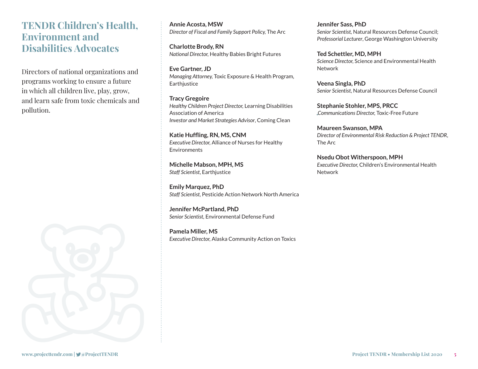## **TENDR Children's Health, Environment and Disabilities Advocates**

Directors of national organizations and programs working to ensure a future in which all children live, play, grow, and learn safe from toxic chemicals and pollution.



**Annie Acosta, MSW**  *Director of Fiscal and Family Support Policy,* The Arc

**Charlotte Brody, RN**  *National Director,* Healthy Babies Bright Futures

**Eve Gartner, JD**  *Managing Attorney,* Toxic Exposure & Health Program*,*  **Earthjustice** 

**Tracy Gregoire**  *Healthy Children Project Director,* Learning Disabilities Association of America *Investor and Market Strategies Advisor*, Coming Clean

**Katie Huffling, RN, MS, CNM**  *Executive Director,* Alliance of Nurses for Healthy **Environments** 

**Michelle Mabson, MPH, MS** *Staff Scientist*, Earthjustice

**Emily Marquez, PhD**  *Staff Scientist,* Pesticide Action Network North America

**Jennifer McPartland, PhD**  *Senior Scientist,* Environmental Defense Fund

**Pamela Miller, MS**  *Executive Director,* Alaska Community Action on Toxics **Jennifer Sass, PhD**  *Senior Scientist,* Natural Resources Defense Council; *Professorial Lecturer*, George Washington University

**Ted Schettler, MD, MPH**  *Science Director,* Science and Environmental Health Network

**Veena Singla, PhD**  *Senior Scientist*, Natural Resources Defense Council

**Stephanie Stohler, MPS, PRCC**  *Communications Director,* Toxic-Free Future

**Maureen Swanson, MPA**  *Director of Environmental Risk Reduction & Project TENDR*, The Arc

**Nsedu Obot Witherspoon, MPH**  *Executive Director,* Children's Environmental Health Network